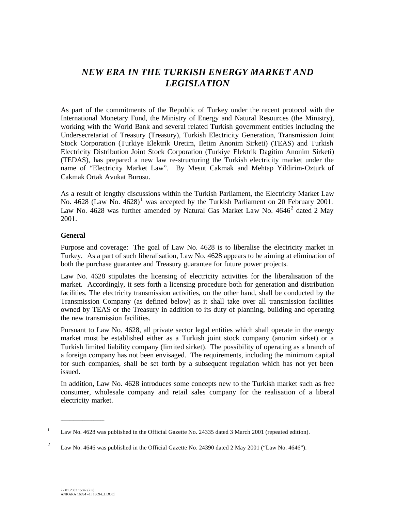# *NEW ERA IN THE TURKISH ENERGY MARKET AND LEGISLATION*

As part of the commitments of the Republic of Turkey under the recent protocol with the International Monetary Fund, the Ministry of Energy and Natural Resources (the Ministry), working with the World Bank and several related Turkish government entities including the Undersecretariat of Treasury (Treasury), Turkish Electricity Generation, Transmission Joint Stock Corporation (Turkiye Elektrik Uretim, Iletim Anonim Sirketi) (TEAS) and Turkish Electricity Distribution Joint Stock Corporation (Turkiye Elektrik Dagitim Anonim Sirketi) (TEDAS), has prepared a new law re-structuring the Turkish electricity market under the name of "Electricity Market Law". By Mesut Cakmak and Mehtap Yildirim-Ozturk of Cakmak Ortak Avukat Burosu.

As a result of lengthy discussions within the Turkish Parliament, the Electricity Market Law No. 4628 (Law No. 4628)<sup>1</sup> was accepted by the Turkish Parliament on 20 February 2001. Law No. 4628 was further amended by Natural Gas Market Law No. 4646 $^2$  dated 2 May 2001.

## **General**

Purpose and coverage: The goal of Law No. 4628 is to liberalise the electricity market in Turkey. As a part of such liberalisation, Law No. 4628 appears to be aiming at elimination of both the purchase guarantee and Treasury guarantee for future power projects.

Law No. 4628 stipulates the licensing of electricity activities for the liberalisation of the market. Accordingly, it sets forth a licensing procedure both for generation and distribution facilities. The electricity transmission activities, on the other hand, shall be conducted by the Transmission Company (as defined below) as it shall take over all transmission facilities owned by TEAS or the Treasury in addition to its duty of planning, building and operating the new transmission facilities.

Pursuant to Law No. 4628, all private sector legal entities which shall operate in the energy market must be established either as a Turkish joint stock company (anonim sirket) or a Turkish limited liability company (limited sirket)*.* The possibility of operating as a branch of a foreign company has not been envisaged. The requirements, including the minimum capital for such companies, shall be set forth by a subsequent regulation which has not yet been issued.

In addition, Law No. 4628 introduces some concepts new to the Turkish market such as free consumer, wholesale company and retail sales company for the realisation of a liberal electricity market.

 $\mathcal{L}_\text{max}$  and  $\mathcal{L}_\text{max}$  are the set of the set of the set of the set of the set of the set of the set of the set of the set of the set of the set of the set of the set of the set of the set of the set of the set o

<sup>&</sup>lt;sup>1</sup> Law No. 4628 was published in the Official Gazette No. 24335 dated 3 March 2001 (repeated edition).

<sup>&</sup>lt;sup>2</sup> Law No. 4646 was published in the Official Gazette No. 24390 dated 2 May 2001 ("Law No. 4646").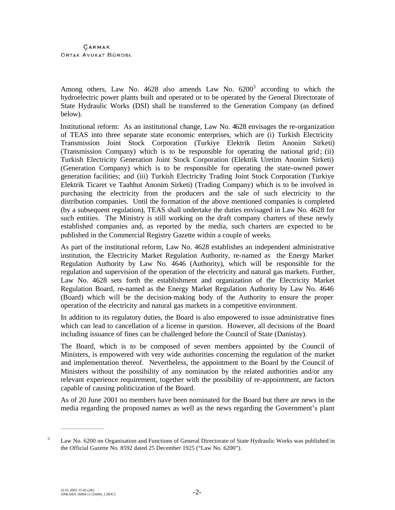Among others, Law No. 4628 also amends Law No.  $6200^3$  according to which the hydroelectric power plants built and operated or to be operated by the General Directorate of State Hydraulic Works (DSI) shall be transferred to the Generation Company (as defined below).

Institutional reform: As an institutional change, Law No. 4628 envisages the re-organization of TEAS into three separate state economic enterprises, which are (i) Turkish Electricity Transmission Joint Stock Corporation (Turkiye Elektrik Iletim Anonim Sirketi) (Transmission Company) which is to be responsible for operating the national grid; (ii) Turkish Electricity Generation Joint Stock Corporation (Elektrik Uretim Anonim Sirketi) (Generation Company) which is to be responsible for operating the state-owned power generation facilities; and (iii) Turkish Electricity Trading Joint Stock Corporation (Turkiye Elektrik Ticaret ve Taahhut Anonim Sirketi) (Trading Company) which is to be involved in purchasing the electricity from the producers and the sale of such electricity to the distribution companies. Until the formation of the above mentioned companies is completed (by a subsequent regulation), TEAS shall undertake the duties envisaged in Law No. 4628 for such entities. The Ministry is still working on the draft company charters of these newly established companies and, as reported by the media, such charters are expected to be published in the Commercial Registry Gazette within a couple of weeks.

As part of the institutional reform, Law No. 4628 establishes an independent administrative institution, the Electricity Market Regulation Authority, re-named as the Energy Market Regulation Authority by Law No. 4646 (Authority), which will be responsible for the regulation and supervision of the operation of the electricity and natural gas markets. Further, Law No. 4628 sets forth the establishment and organization of the Electricity Market Regulation Board, re-named as the Energy Market Regulation Authority by Law No. 4646 (Board) which will be the decision-making body of the Authority to ensure the proper operation of the electricity and natural gas markets in a competitive environment.

In addition to its regulatory duties, the Board is also empowered to issue administrative fines which can lead to cancellation of a license in question. However, all decisions of the Board including issuance of fines can be challenged before the Council of State (Danistay).

The Board, which is to be composed of seven members appointed by the Council of Ministers, is empowered with very wide authorities concerning the regulation of the market and implementation thereof. Nevertheless, the appointment to the Board by the Council of Ministers without the possibility of any nomination by the related authorities and/or any relevant experience requirement, together with the possibility of re-appointment, are factors capable of causing politicization of the Board.

As of 20 June 2001 no members have been nominated for the Board but there are news in the media regarding the proposed names as well as the news regarding the Government's plant

\_\_\_\_\_\_\_\_\_\_\_\_\_\_\_\_\_\_\_\_\_\_\_\_

<sup>&</sup>lt;sup>3</sup> Law No. 6200 on Organisation and Functions of General Directorate of State Hydraulic Works was published in the Official Gazette No. 8592 dated 25 December 1925 ("Law No. 6200").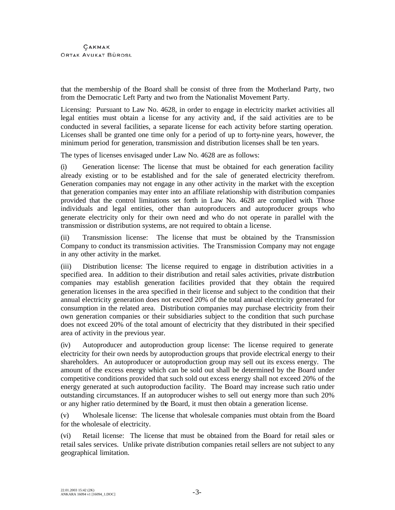that the membership of the Board shall be consist of three from the Motherland Party, two from the Democratic Left Party and two from the Nationalist Movement Party.

Licensing: Pursuant to Law No. 4628, in order to engage in electricity market activities all legal entities must obtain a license for any activity and, if the said activities are to be conducted in several facilities, a separate license for each activity before starting operation. Licenses shall be granted one time only for a period of up to forty-nine years, however, the minimum period for generation, transmission and distribution licenses shall be ten years.

The types of licenses envisaged under Law No. 4628 are as follows:

(i) Generation license: The license that must be obtained for each generation facility already existing or to be established and for the sale of generated electricity therefrom. Generation companies may not engage in any other activity in the market with the exception that generation companies may enter into an affiliate relationship with distribution companies provided that the control limitations set forth in Law No. 4628 are complied with*.* Those individuals and legal entities, other than autoproducers and autoproducer groups who generate electricity only for their own need and who do not operate in parallel with the transmission or distribution systems, are not required to obtain a license.

(ii) Transmission license: The license that must be obtained by the Transmission Company to conduct its transmission activities. The Transmission Company may not engage in any other activity in the market.

(iii) Distribution license: The license required to engage in distribution activities in a specified area. In addition to their distribution and retail sales activities, private distribution companies may establish generation facilities provided that they obtain the required generation licenses in the area specified in their license and subject to the condition that their annual electricity generation does not exceed 20% of the total annual electricity generated for consumption in the related area. Distribution companies may purchase electricity from their own generation companies or their subsidiaries subject to the condition that such purchase does not exceed 20% of the total amount of electricity that they distributed in their specified area of activity in the previous year.

(iv) Autoproducer and autoproduction group license: The license required to generate electricity for their own needs by autoproduction groups that provide electrical energy to their shareholders. An autoproducer or autoproduction group may sell out its excess energy. The amount of the excess energy which can be sold out shall be determined by the Board under competitive conditions provided that such sold out excess energy shall not exceed 20% of the energy generated at such autoproduction facility. The Board may increase such ratio under outstanding circumstances. If an autoproducer wishes to sell out energy more than such 20% or any higher ratio determined by the Board, it must then obtain a generation license.

(v) Wholesale license: The license that wholesale companies must obtain from the Board for the wholesale of electricity.

(vi) Retail license: The license that must be obtained from the Board for retail sales or retail sales services. Unlike private distribution companies retail sellers are not subject to any geographical limitation.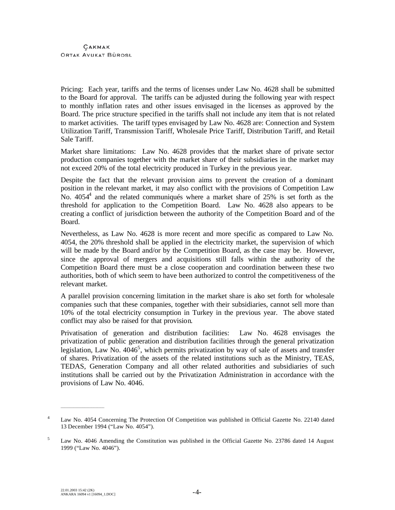Pricing: Each year, tariffs and the terms of licenses under Law No. 4628 shall be submitted to the Board for approval. The tariffs can be adjusted during the following year with respect to monthly inflation rates and other issues envisaged in the licenses as approved by the Board. The price structure specified in the tariffs shall not include any item that is not related to market activities. The tariff types envisaged by Law No. 4628 are: Connection and System Utilization Tariff, Transmission Tariff, Wholesale Price Tariff, Distribution Tariff, and Retail Sale Tariff.

Market share limitations: Law No. 4628 provides that the market share of private sector production companies together with the market share of their subsidiaries in the market may not exceed 20% of the total electricity produced in Turkey in the previous year.

Despite the fact that the relevant provision aims to prevent the creation of a dominant position in the relevant market, it may also conflict with the provisions of Competition Law No.  $4054^4$  and the related communiqués where a market share of 25% is set forth as the threshold for application to the Competition Board. Law No. 4628 also appears to be creating a conflict of jurisdiction between the authority of the Competition Board and of the Board.

Nevertheless, as Law No. 4628 is more recent and more specific as compared to Law No. 4054, the 20% threshold shall be applied in the electricity market, the supervision of which will be made by the Board and/or by the Competition Board, as the case may be. However, since the approval of mergers and acquisitions still falls within the authority of the Competition Board there must be a close cooperation and coordination between these two authorities, both of which seem to have been authorized to control the competitiveness of the relevant market.

A parallel provision concerning limitation in the market share is also set forth for wholesale companies such that these companies, together with their subsidiaries, cannot sell more than 10% of the total electricity consumption in Turkey in the previous year. The above stated conflict may also be raised for that provision.

Privatisation of generation and distribution facilities: Law No. 4628 envisages the privatization of public generation and distribution facilities through the general privatization legislation, Law No.  $4046^5$ , which permits privatization by way of sale of assets and transfer of shares. Privatization of the assets of the related institutions such as the Ministry, TEAS, TEDAS, Generation Company and all other related authorities and subsidiaries of such institutions shall be carried out by the Privatization Administration in accordance with the provisions of Law No. 4046.

 $\mathcal{L}_\text{max}$  and  $\mathcal{L}_\text{max}$  are the set of the set of the set of the set of the set of the set of the set of the set of the set of the set of the set of the set of the set of the set of the set of the set of the set o

<sup>&</sup>lt;sup>4</sup> Law No. 4054 Concerning The Protection Of Competition was published in Official Gazette No. 22140 dated 13 December 1994 ("Law No. 4054").

<sup>5</sup> Law No. 4046 Amending the Constitution was published in the Official Gazette No. 23786 dated 14 August 1999 ("Law No. 4046").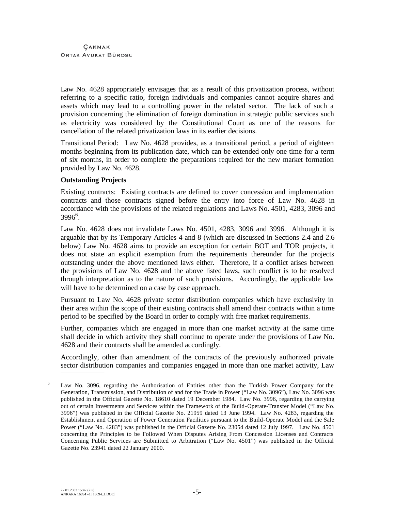Law No. 4628 appropriately envisages that as a result of this privatization process, without referring to a specific ratio, foreign individuals and companies cannot acquire shares and assets which may lead to a controlling power in the related sector. The lack of such a provision concerning the elimination of foreign domination in strategic public services such as electricity was considered by the Constitutional Court as one of the reasons for cancellation of the related privatization laws in its earlier decisions.

Transitional Period: Law No. 4628 provides, as a transitional period, a period of eighteen months beginning from its publication date, which can be extended only one time for a term of six months, in order to complete the preparations required for the new market formation provided by Law No. 4628.

## **Outstanding Projects**

Existing contracts: Existing contracts are defined to cover concession and implementation contracts and those contracts signed before the entry into force of Law No. 4628 in accordance with the provisions of the related regulations and Laws No. 4501, 4283, 3096 and 3996<sup>6</sup>.

Law No. 4628 does not invalidate Laws No. 4501, 4283, 3096 and 3996. Although it is arguable that by its Temporary Articles 4 and 8 (which are discussed in Sections 2.4 and 2.6 below) Law No. 4628 aims to provide an exception for certain BOT and TOR projects, it does not state an explicit exemption from the requirements thereunder for the projects outstanding under the above mentioned laws either. Therefore, if a conflict arises between the provisions of Law No. 4628 and the above listed laws, such conflict is to be resolved through interpretation as to the nature of such provisions. Accordingly, the applicable law will have to be determined on a case by case approach.

Pursuant to Law No. 4628 private sector distribution companies which have exclusivity in their area within the scope of their existing contracts shall amend their contracts within a time period to be specified by the Board in order to comply with free market requirements.

Further, companies which are engaged in more than one market activity at the same time shall decide in which activity they shall continue to operate under the provisions of Law No. 4628 and their contracts shall be amended accordingly.

Accordingly, other than amendment of the contracts of the previously authorized private sector distribution companies and companies engaged in more than one market activity, Law  $\mathcal{L}_\text{max}$  and  $\mathcal{L}_\text{max}$  are the set of the set of the set of the set of the set of the set of the set of the set of the set of the set of the set of the set of the set of the set of the set of the set of the set o

<sup>6</sup> Law No. 3096, regarding the Authorisation of Entities other than the Turkish Power Company for the Generation, Transmission, and Distribution of and for the Trade in Power ("Law No. 3096"), Law No. 3096 was published in the Official Gazette No. 18610 dated 19 December 1984. Law No. 3996, regarding the carrying out of certain Investments and Services within the Framework of the Build-Operate-Transfer Model ("Law No. 3996") was published in the Official Gazette No. 21959 dated 13 June 1994. Law No. 4283, regarding the Establishment and Operation of Power Generation Facilities pursuant to the Build-Operate Model and the Sale Power ("Law No. 4283") was published in the Official Gazette No. 23054 dated 12 July 1997. Law No. 4501 concerning the Principles to be Followed When Disputes Arising From Concession Licenses and Contracts Concerning Public Services are Submitted to Arbitration ("Law No. 4501") was published in the Official Gazette No. 23941 dated 22 January 2000.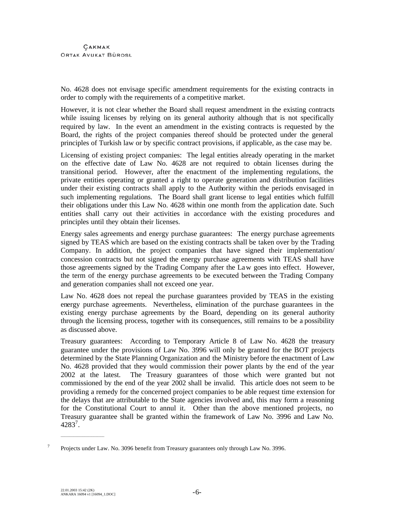No. 4628 does not envisage specific amendment requirements for the existing contracts in order to comply with the requirements of a competitive market.

However, it is not clear whether the Board shall request amendment in the existing contracts while issuing licenses by relying on its general authority although that is not specifically required by law. In the event an amendment in the existing contracts is requested by the Board, the rights of the project companies thereof should be protected under the general principles of Turkish law or by specific contract provisions, if applicable, as the case may be.

Licensing of existing project companies: The legal entities already operating in the market on the effective date of Law No. 4628 are not required to obtain licenses during the transitional period. However, after the enactment of the implementing regulations, the private entities operating or granted a right to operate generation and distribution facilities under their existing contracts shall apply to the Authority within the periods envisaged in such implementing regulations. The Board shall grant license to legal entities which fulfill their obligations under this Law No. 4628 within one month from the application date. Such entities shall carry out their activities in accordance with the existing procedures and principles until they obtain their licenses.

Energy sales agreements and energy purchase guarantees: The energy purchase agreements signed by TEAS which are based on the existing contracts shall be taken over by the Trading Company. In addition, the project companies that have signed their implementation/ concession contracts but not signed the energy purchase agreements with TEAS shall have those agreements signed by the Trading Company after the Law goes into effect. However, the term of the energy purchase agreements to be executed between the Trading Company and generation companies shall not exceed one year.

Law No. 4628 does not repeal the purchase guarantees provided by TEAS in the existing energy purchase agreements. Nevertheless, elimination of the purchase guarantees in the existing energy purchase agreements by the Board, depending on its general authority through the licensing process, together with its consequences, still remains to be a possibility as discussed above.

Treasury guarantees: According to Temporary Article 8 of Law No. 4628 the treasury guarantee under the provisions of Law No. 3996 will only be granted for the BOT projects determined by the State Planning Organization and the Ministry before the enactment of Law No. 4628 provided that they would commission their power plants by the end of the year 2002 at the latest. The Treasury guarantees of those which were granted but not commissioned by the end of the year 2002 shall be invalid. This article does not seem to be providing a remedy for the concerned project companies to be able request time extension for the delays that are attributable to the State agencies involved and, this may form a reasoning for the Constitutional Court to annul it. Other than the above mentioned projects, no Treasury guarantee shall be granted within the framework of Law No. 3996 and Law No.  $4283^7$ .

\_\_\_\_\_\_\_\_\_\_\_\_\_\_\_\_\_\_\_\_\_\_\_\_

<sup>&</sup>lt;sup>7</sup> Projects under Law. No. 3096 benefit from Treasury guarantees only through Law No. 3996.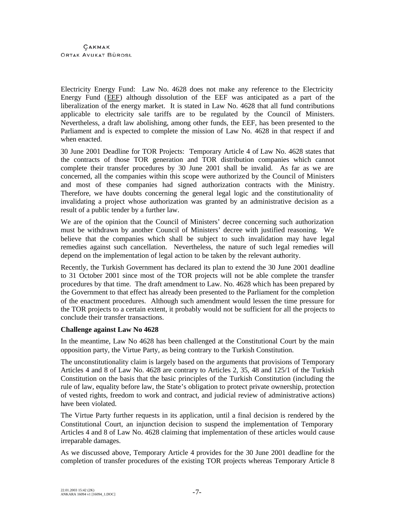Electricity Energy Fund: Law No. 4628 does not make any reference to the Electricity Energy Fund (EEF) although dissolution of the EEF was anticipated as a part of the liberalization of the energy market. It is stated in Law No. 4628 that all fund contributions applicable to electricity sale tariffs are to be regulated by the Council of Ministers. Nevertheless, a draft law abolishing, among other funds, the EEF, has been presented to the Parliament and is expected to complete the mission of Law No. 4628 in that respect if and when enacted.

30 June 2001 Deadline for TOR Projects: Temporary Article 4 of Law No. 4628 states that the contracts of those TOR generation and TOR distribution companies which cannot complete their transfer procedures by 30 June 2001 shall be invalid. As far as we are concerned, all the companies within this scope were authorized by the Council of Ministers and most of these companies had signed authorization contracts with the Ministry. Therefore, we have doubts concerning the general legal logic and the constitutionality of invalidating a project whose authorization was granted by an administrative decision as a result of a public tender by a further law.

We are of the opinion that the Council of Ministers' decree concerning such authorization must be withdrawn by another Council of Ministers' decree with justified reasoning. We believe that the companies which shall be subject to such invalidation may have legal remedies against such cancellation. Nevertheless, the nature of such legal remedies will depend on the implementation of legal action to be taken by the relevant authority.

Recently, the Turkish Government has declared its plan to extend the 30 June 2001 deadline to 31 October 2001 since most of the TOR projects will not be able complete the transfer procedures by that time. The draft amendment to Law. No. 4628 which has been prepared by the Government to that effect has already been presented to the Parliament for the completion of the enactment procedures. Although such amendment would lessen the time pressure for the TOR projects to a certain extent, it probably would not be sufficient for all the projects to conclude their transfer transactions.

## **Challenge against Law No 4628**

In the meantime, Law No 4628 has been challenged at the Constitutional Court by the main opposition party, the Virtue Party, as being contrary to the Turkish Constitution.

The unconstitutionality claim is largely based on the arguments that provisions of Temporary Articles 4 and 8 of Law No. 4628 are contrary to Articles 2, 35, 48 and 125/1 of the Turkish Constitution on the basis that the basic principles of the Turkish Constitution (including the rule of law, equality before law, the State's obligation to protect private ownership, protection of vested rights, freedom to work and contract, and judicial review of administrative actions) have been violated.

The Virtue Party further requests in its application, until a final decision is rendered by the Constitutional Court, an injunction decision to suspend the implementation of Temporary Articles 4 and 8 of Law No. 4628 claiming that implementation of these articles would cause irreparable damages.

As we discussed above, Temporary Article 4 provides for the 30 June 2001 deadline for the completion of transfer procedures of the existing TOR projects whereas Temporary Article 8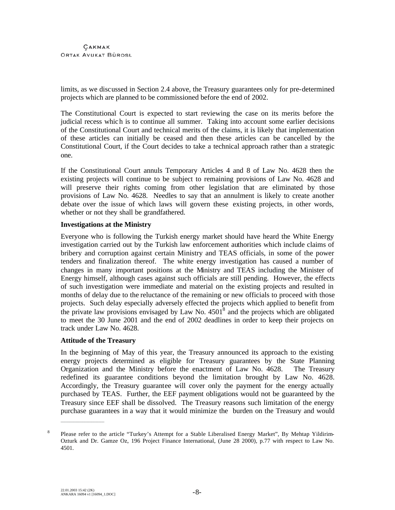limits, as we discussed in Section 2.4 above, the Treasury guarantees only for pre-determined projects which are planned to be commissioned before the end of 2002.

The Constitutional Court is expected to start reviewing the case on its merits before the judicial recess which is to continue all summer. Taking into account some earlier decisions of the Constitutional Court and technical merits of the claims, it is likely that implementation of these articles can initially be ceased and then these articles can be cancelled by the Constitutional Court, if the Court decides to take a technical approach rather than a strategic one.

If the Constitutional Court annuls Temporary Articles 4 and 8 of Law No. 4628 then the existing projects will continue to be subject to remaining provisions of Law No. 4628 and will preserve their rights coming from other legislation that are eliminated by those provisions of Law No. 4628. Needles to say that an annulment is likely to create another debate over the issue of which laws will govern these existing projects, in other words, whether or not they shall be grandfathered.

## **Investigations at the Ministry**

Everyone who is following the Turkish energy market should have heard the White Energy investigation carried out by the Turkish law enforcement authorities which include claims of bribery and corruption against certain Ministry and TEAS officials, in some of the power tenders and finalization thereof. The white energy investigation has caused a number of changes in many important positions at the Ministry and TEAS including the Minister of Energy himself, although cases against such officials are still pending. However, the effects of such investigation were immediate and material on the existing projects and resulted in months of delay due to the reluctance of the remaining or new officials to proceed with those projects. Such delay especially adversely effected the projects which applied to benefit from the private law provisions envisaged by Law No.  $4501<sup>8</sup>$  and the projects which are obligated to meet the 30 June 2001 and the end of 2002 deadlines in order to keep their projects on track under Law No. 4628.

#### **Attitude of the Treasury**

In the beginning of May of this year, the Treasury announced its approach to the existing energy projects determined as eligible for Treasury guarantees by the State Planning Organization and the Ministry before the enactment of Law No. 4628. The Treasury redefined its guarantee conditions beyond the limitation brought by Law No. 4628. Accordingly, the Treasury guarantee will cover only the payment for the energy actually purchased by TEAS. Further, the EEF payment obligations would not be guaranteed by the Treasury since EEF shall be dissolved. The Treasury reasons such limitation of the energy purchase guarantees in a way that it would minimize the burden on the Treasury and would

 $\mathcal{L}_\text{max}$  and  $\mathcal{L}_\text{max}$  are the set of the set of the set of the set of the set of the set of the set of the set of the set of the set of the set of the set of the set of the set of the set of the set of the set o

<sup>&</sup>lt;sup>8</sup> Please refer to the article "Turkey's Attempt for a Stable Liberalised Energy Market", By Mehtap Yildirim-Ozturk and Dr. Gamze Oz, 196 Project Finance International, (June 28 2000), p.77 with respect to Law No. 4501.